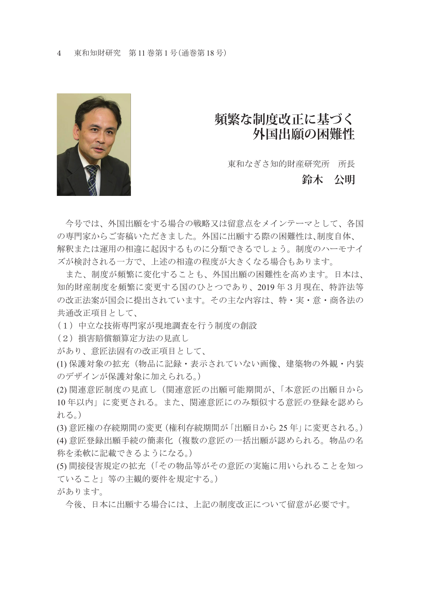

## **頻繁な制度改正に基づく 外国出願の困難性**

東和なぎさ知的財産研究所 所長

## **鈴木 公明**

 今号では、外国出願をする場合の戦略又は留意点をメインテーマとして、各国 の専門家からご寄稿いただきました。外国に出願する際の困難性は、制度自体、 解釈または運用の相違に起因するものに分類できるでしょう。制度のハーモナイ ズが検討される一方で、上述の相違の程度が大きくなる場合もあります。

 また、制度が頻繁に変化することも、外国出願の困難性を高めます。日本は、 知的財産制度を頻繁に変更する国のひとつであり、2019 年3月現在、特許法等 の改正法案が国会に提出されています。その主な内容は、特・実・意・商各法の 共通改正項目として、

(1)中立な技術専門家が現地調査を行う制度の創設

(2)損害賠償額算定方法の見直し

があり、意匠法固有の改正項目として、

(1) 保護対象の拡充(物品に記録・表示されていない画像、建築物の外観・内装 のデザインが保護対象に加えられる。)

(2) 関連意匠制度の見直し(関連意匠の出願可能期間が、「本意匠の出願日から 10 年以内」に変更される。また、関連意匠にのみ類似する意匠の登録を認めら れる。)

(3) 意匠権の存続期間の変更(権利存続期間が「出願日から 25 年」に変更される。) (4) 意匠登録出願手続の簡素化(複数の意匠の一括出願が認められる。物品の名 称を柔軟に記載できるようになる。)

(5) 間接侵害規定の拡充(「その物品等がその意匠の実施に用いられることを知っ ていること」等の主観的要件を規定する。)

があります。

今後、日本に出願する場合には、上記の制度改正について留意が必要です。